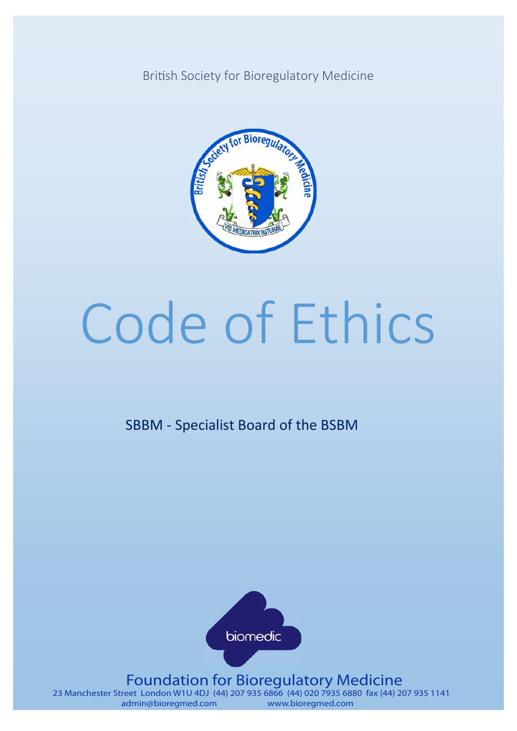British Society for Bioregulatory Medicine



## Code of Ethics

SBBM - Specialist Board of the BSBM



**Foundation for Bioregulatory Medicine**  23 Manchester Street London W1U 4DJ (44) 207 935 6866 (44) 020 7935 6880 fax (44) 207 935 1141 admin@bioregmed.com www.bioregmed.com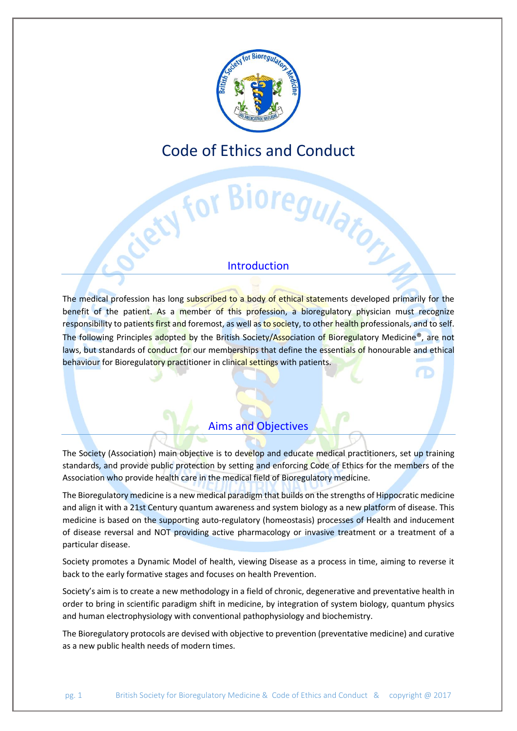

### Code of Ethics and Conduct

# Rety for Bioregular

The medical profession has long subscribed to a body of ethical statements developed primarily for the benefit of the patient. As a member of this profession, a bioregulatory physician must recognize responsibility to patients first and foremost, as well as to society, to other health professionals, and to self. The following Principles adopted by the British Society/Association of Bioregulatory Medicine®, are not laws, but standards of conduct for our memberships that define the essentials of honourable and ethical behaviour for Bioregulatory practitioner in clinical settings with patients.

#### Aims and Objectives

The Society (Association) main objective is to develop and educate medical practitioners, set up training standards, and provide public protection by setting and enforcing Code of Ethics for the members of the Association who provide health care in the medical field of Bioregulatory medicine.

The Bioregulatory medicine is a new medical paradigm that builds on the strengths of Hippocratic medicine and align it with a 21st Century quantum awareness and system biology as a new platform of disease. This medicine is based on the supporting auto-regulatory (homeostasis) processes of Health and inducement of disease reversal and NOT providing active pharmacology or invasive treatment or a treatment of a particular disease.

Society promotes a Dynamic Model of health, viewing Disease as a process in time, aiming to reverse it back to the early formative stages and focuses on health Prevention.

Society's aim is to create a new methodology in a field of chronic, degenerative and preventative health in order to bring in scientific paradigm shift in medicine, by integration of system biology, quantum physics and human electrophysiology with conventional pathophysiology and biochemistry.

The Bioregulatory protocols are devised with objective to prevention (preventative medicine) and curative as a new public health needs of modern times.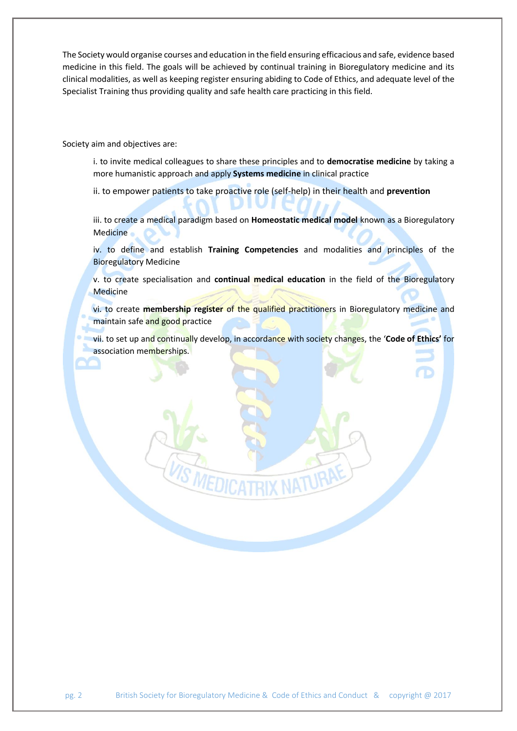The Society would organise courses and education in the field ensuring efficacious and safe, evidence based medicine in this field. The goals will be achieved by continual training in Bioregulatory medicine and its clinical modalities, as well as keeping register ensuring abiding to Code of Ethics, and adequate level of the Specialist Training thus providing quality and safe health care practicing in this field.

Society aim and objectives are:

i. to invite medical colleagues to share these principles and to **democratise medicine** by taking a more humanistic approach and apply **Systems medicine** in clinical practice

ii. to empower patients to take proactive role (self-help) in their health and **prevention**

iii. to create a medical paradigm based on **Homeostatic medical model** known as a Bioregulatory Medicine

iv. to define and establish **Training Competencies** and modalities and principles of the Bioregulatory Medicine

v. to create specialisation and **continual medical education** in the field of the Bioregulatory Medicine

vi. to create **membership register** of the qualified practitioners in Bioregulatory medicine and maintain safe and good practice

vii. to set up and continually develop, in accordance with society changes, the '**Code of Ethics'** for association memberships.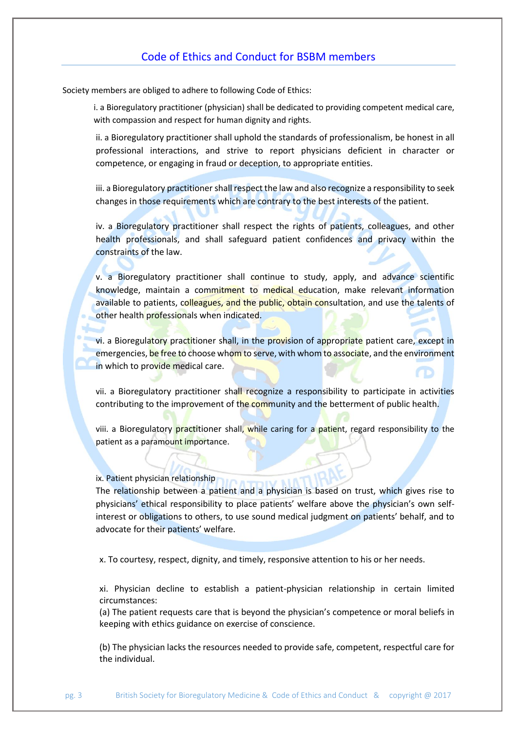#### Code of Ethics and Conduct for BSBM members

Society members are obliged to adhere to following Code of Ethics:

i. a Bioregulatory practitioner (physician) shall be dedicated to providing competent medical care, with compassion and respect for human dignity and rights.

ii. a Bioregulatory practitioner shall uphold the standards of professionalism, be honest in all professional interactions, and strive to report physicians deficient in character or competence, or engaging in fraud or deception, to appropriate entities.

iii. a Bioregulatory practitioner shall respect the law and also recognize a responsibility to seek changes in those requirements which are contrary to the best interests of the patient.

iv. a Bioregulatory practitioner shall respect the rights of patients, colleagues, and other health professionals, and shall safeguard patient confidences and privacy within the constraints of the law.

v. a Bioregulatory practitioner shall continue to study, apply, and advance scientific knowledge, maintain a commitment to medical education, make relevant information available to patients, colleagues, and the public, obtain consultation, and use the talents of other health professionals when indicated.

vi. a Bioregulatory practitioner shall, in the provision of appropriate patient care, except in emergencies, be free to choose whom to serve, with whom to associate, and the environment in which to provide medical care.

vii. a Bioregulatory practitioner shall recognize a responsibility to participate in activities contributing to the improvement of the community and the betterment of public health.

viii. a Bioregulatory practitioner shall, while caring for a patient, regard responsibility to the patient as a paramount importance.

ix. Patient physician relationship

The relationship between a patient and a physician is based on trust, which gives rise to physicians' ethical responsibility to place patients' welfare above the physician's own selfinterest or obligations to others, to use sound medical judgment on patients' behalf, and to advocate for their patients' welfare.

x. To courtesy, respect, dignity, and timely, responsive attention to his or her needs.

xi. Physician decline to establish a patient-physician relationship in certain limited circumstances:

(a) The patient requests care that is beyond the physician's competence or moral beliefs in keeping with ethics guidance on exercise of conscience.

(b) The physician lacks the resources needed to provide safe, competent, respectful care for the individual.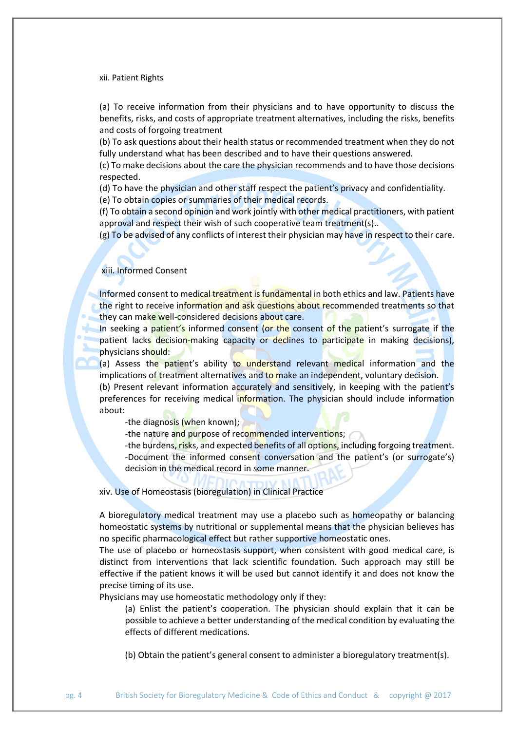#### xii. Patient Rights

(a) To receive information from their physicians and to have opportunity to discuss the benefits, risks, and costs of appropriate treatment alternatives, including the risks, benefits and costs of forgoing treatment

(b) To ask questions about their health status or recommended treatment when they do not fully understand what has been described and to have their questions answered.

(c) To make decisions about the care the physician recommends and to have those decisions respected.

(d) To have the physician and other staff respect the patient's privacy and confidentiality.

(e) To obtain copies or summaries of their medical records.

(f) To obtain a second opinion and work jointly with other medical practitioners, with patient approval and respect their wish of such cooperative team treatment(s)..

(g) To be advised of any conflicts of interest their physician may have in respect to their care.

#### xiii. Informed Consent

Informed consent to medical treatment is fundamental in both ethics and law. Patients have the right to receive information and ask questions about recommended treatments so that they can make well-considered decisions about care.

In seeking a patient's informed consent (or the consent of the patient's surrogate if the patient lacks decision-making capacity or declines to participate in making decisions), physicians should:

(a) Assess the patient's ability to understand relevant medical information and the implications of treatment alternatives and to make an independent, voluntary decision.

(b) Present relevant information accurately and sensitively, in keeping with the patient's preferences for receiving medical information. The physician should include information about:

-the diagnosis (when known);

-the nature and purpose of recommended interventions;

-the burdens, risks, and expected benefits of all options, including forgoing treatment. -Document the informed consent conversation and the patient's (or surrogate's) decision in the medical record in some manner.

xiv. Use of Homeostasis (bioregulation) in Clinical Practice

A bioregulatory medical treatment may use a placebo such as homeopathy or balancing homeostatic systems by nutritional or supplemental means that the physician believes has no specific pharmacological effect but rather supportive homeostatic ones.

The use of placebo or homeostasis support, when consistent with good medical care, is distinct from interventions that lack scientific foundation. Such approach may still be effective if the patient knows it will be used but cannot identify it and does not know the precise timing of its use.

Physicians may use homeostatic methodology only if they:

(a) Enlist the patient's cooperation. The physician should explain that it can be possible to achieve a better understanding of the medical condition by evaluating the effects of different medications.

(b) Obtain the patient's general consent to administer a bioregulatory treatment(s).

pg. 4 British Society for Bioregulatory Medicine & Code of Ethics and Conduct & copyright @ 2017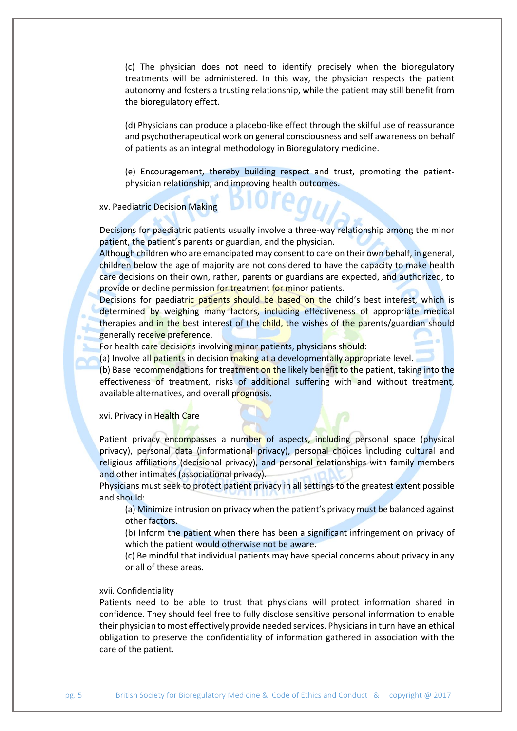(c) The physician does not need to identify precisely when the bioregulatory treatments will be administered. In this way, the physician respects the patient autonomy and fosters a trusting relationship, while the patient may still benefit from the bioregulatory effect.

(d) Physicians can produce a placebo-like effect through the skilful use of reassurance and psychotherapeutical work on general consciousness and self awareness on behalf of patients as an integral methodology in Bioregulatory medicine.

(e) Encouragement, thereby building respect and trust, promoting the patientphysician relationship, and improving health outcomes.

xv. Paediatric Decision Making

Decisions for paediatric patients usually involve a three-way relationship among the minor patient, the patient's parents or guardian, and the physician.

Although children who are emancipated may consent to care on their own behalf, in general, children below the age of majority are not considered to have the capacity to make health care decisions on their own, rather, parents or guardians are expected, and authorized, to provide or decline permission for treatment for minor patients.

Decisions for paediatric patients should be based on the child's best interest, which is determined by weighing many factors, including effectiveness of appropriate medical therapies and in the best interest of the child, the wishes of the parents/guardian should generally receive preference.

For health care decisions involving minor patients, physicians should:

(a) Involve all **patients** in decision making at a developmentally appropriate level.

(b) Base recommendations for treatment on the likely benefit to the patient, taking into the effectiveness of treatment, risks of additional suffering with and without treatment, available alternatives, and overall prognosis.

xvi. Privacy in Health Care

Patient privacy encompasses a number of aspects, including personal space (physical privacy), personal data (informational privacy), personal choices including cultural and religious affiliations (decisional privacy), and personal relationships with family members and other intimates (associational privacy).

Physicians must seek to protect patient privacy in all settings to the greatest extent possible and should:

(a) Minimize intrusion on privacy when the patient's privacy must be balanced against other factors.

(b) Inform the patient when there has been a significant infringement on privacy of which the patient would otherwise not be aware.

(c) Be mindful that individual patients may have special concerns about privacy in any or all of these areas.

#### xvii. Confidentiality

Patients need to be able to trust that physicians will protect information shared in confidence. They should feel free to fully disclose sensitive personal information to enable their physician to most effectively provide needed services. Physicians in turn have an ethical obligation to preserve the confidentiality of information gathered in association with the care of the patient.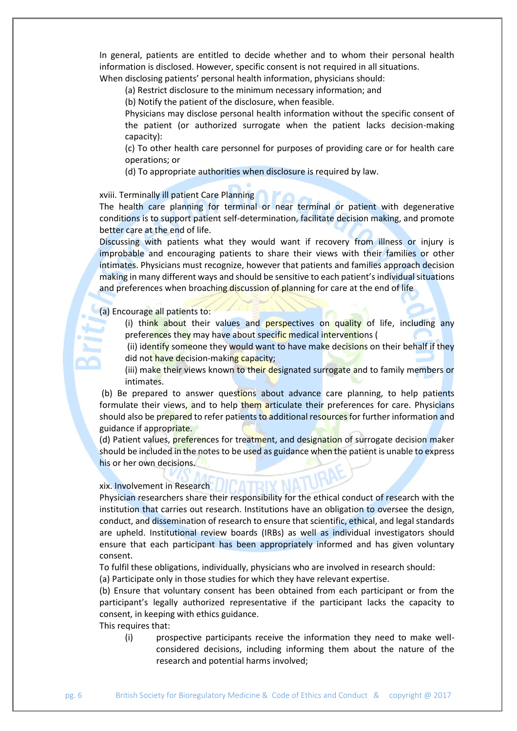In general, patients are entitled to decide whether and to whom their personal health information is disclosed. However, specific consent is not required in all situations. When disclosing patients' personal health information, physicians should:

(a) Restrict disclosure to the minimum necessary information; and

(b) Notify the patient of the disclosure, when feasible.

Physicians may disclose personal health information without the specific consent of the patient (or authorized surrogate when the patient lacks decision-making capacity):

(c) To other health care personnel for purposes of providing care or for health care operations; or

(d) To appropriate authorities when disclosure is required by law.

xviii. Terminally ill patient Care Planning

The health care planning for terminal or near terminal or patient with degenerative conditions is to support patient self-determination, facilitate decision making, and promote better care at the end of life.

Discussing with patients what they would want if recovery from illness or injury is improbable and encouraging patients to share their views with their families or other intimates. Physicians must recognize, however that patients and families approach decision making in many different ways and should be sensitive to each patient's individual situations and preferences when broaching discussion of planning for care at the end of life

(a) Encourage all patients to:

(i) think about their values and perspectives on quality of life, including any preferences they may have about specific medical interventions (

(ii) identify someone they would want to have make decisions on their behalf if they did not have decision-making capacity;

(iii) make their views known to their designated surrogate and to family members or intimates.

 (b) Be prepared to answer questions about advance care planning, to help patients formulate their views, and to help them articulate their preferences for care. Physicians should also be prepared to refer patients to additional resources for further information and guidance if appropriate.

(d) Patient values, preferences for treatment, and designation of surrogate decision maker should be included in the notes to be used as guidance when the patient is unable to express his or her own decisions.

#### xix. Involvement in Research

Physician researchers share their responsibility for the ethical conduct of research with the institution that carries out research. Institutions have an obligation to oversee the design, conduct, and dissemination of research to ensure that scientific, ethical, and legal standards are upheld. Institutional review boards (IRBs) as well as individual investigators should ensure that each participant has been appropriately informed and has given voluntary consent.

To fulfil these obligations, individually, physicians who are involved in research should:

(a) Participate only in those studies for which they have relevant expertise.

(b) Ensure that voluntary consent has been obtained from each participant or from the participant's legally authorized representative if the participant lacks the capacity to consent, in keeping with ethics guidance.

This requires that:

(i) prospective participants receive the information they need to make wellconsidered decisions, including informing them about the nature of the research and potential harms involved;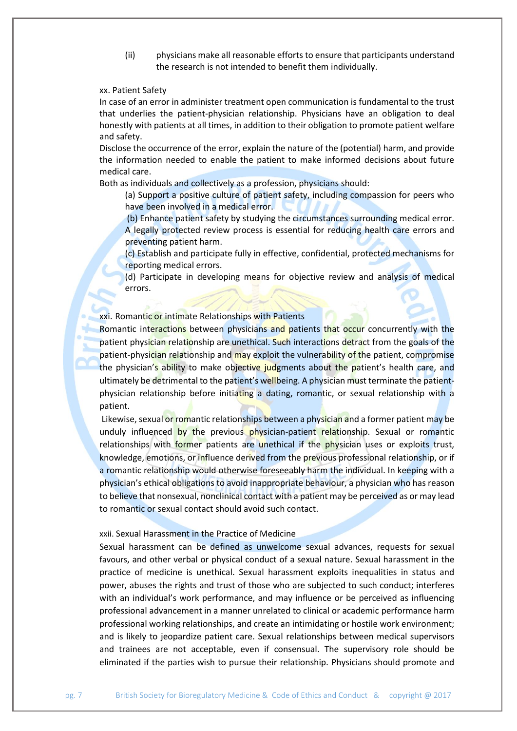(ii) physicians make all reasonable efforts to ensure that participants understand the research is not intended to benefit them individually.

#### xx. Patient Safety

In case of an error in administer treatment open communication is fundamental to the trust that underlies the patient-physician relationship. Physicians have an obligation to deal honestly with patients at all times, in addition to their obligation to promote patient welfare and safety.

Disclose the occurrence of the error, explain the nature of the (potential) harm, and provide the information needed to enable the patient to make informed decisions about future medical care.

Both as individuals and collectively as a profession, physicians should:

(a) Support a positive culture of patient safety, including compassion for peers who have been involved in a medical error.

(b) Enhance patient safety by studying the circumstances surrounding medical error. A legally protected review process is essential for reducing health care errors and preventing patient harm.

(c) Establish and participate fully in effective, confidential, protected mechanisms for reporting medical errors.

(d) Participate in developing means for objective review and analysis of medical errors.

#### xxi. Romantic or intimate Relationships with Patients

Romantic interactions between physicians and patients that occur concurrently with the patient physician relationship are unethical. Such interactions detract from the goals of the patient-physician relationship and may exploit the vulnerability of the patient, compromise the physician's ability to make objective judgments about the patient's health care, and ultimately be detrimental to the patient's wellbeing. A physician must terminate the patientphysician relationship before initiating a dating, romantic, or sexual relationship with a patient.

Likewise, sexual or romantic relationships between a physician and a former patient may be unduly influenced by the previous physician-patient relationship. Sexual or romantic relationships with former patients are unethical if the physician uses or exploits trust, knowledge, emotions, or influence derived from the previous professional relationship, or if a romantic relationship would otherwise foreseeably harm the individual. In keeping with a physician's ethical obligations to avoid inappropriate behaviour, a physician who has reason to believe that nonsexual, nonclinical contact with a patient may be perceived as or may lead to romantic or sexual contact should avoid such contact.

#### xxii. Sexual Harassment in the Practice of Medicine

Sexual harassment can be defined as unwelcome sexual advances, requests for sexual favours, and other verbal or physical conduct of a sexual nature. Sexual harassment in the practice of medicine is unethical. Sexual harassment exploits inequalities in status and power, abuses the rights and trust of those who are subjected to such conduct; interferes with an individual's work performance, and may influence or be perceived as influencing professional advancement in a manner unrelated to clinical or academic performance harm professional working relationships, and create an intimidating or hostile work environment; and is likely to jeopardize patient care. Sexual relationships between medical supervisors and trainees are not acceptable, even if consensual. The supervisory role should be eliminated if the parties wish to pursue their relationship. Physicians should promote and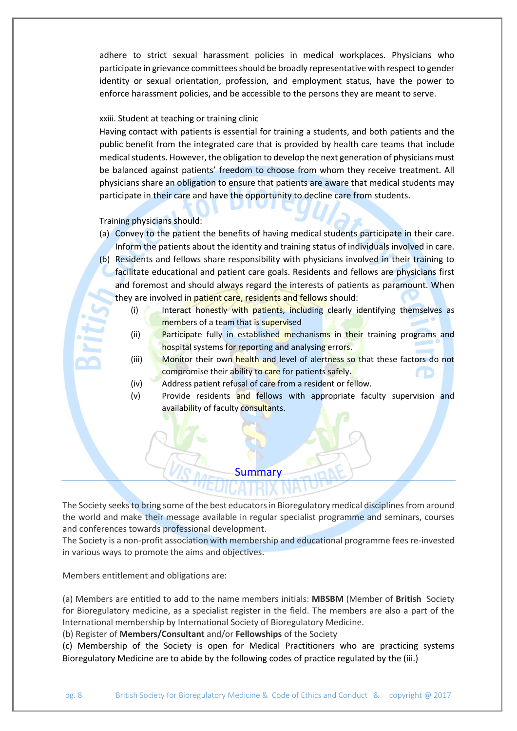adhere to strict sexual harassment policies in medical workplaces. Physicians who participate in grievance committees should be broadly representative with respect to gender identity or sexual orientation, profession, and employment status, have the power to enforce harassment policies, and be accessible to the persons they are meant to serve.

#### xxiii. Student at teaching or training clinic

Having contact with patients is essential for training a students, and both patients and the public benefit from the integrated care that is provided by health care teams that include medical students. However, the obligation to develop the next generation of physicians must be balanced against patients' freedom to choose from whom they receive treatment. All physicians share an obligation to ensure that patients are aware that medical students may participate in their care and have the opportunity to decline care from students.

Training physicians should:

- (a) Convey to the patient the benefits of having medical students participate in their care. Inform the patients about the identity and training status of individuals involved in care.
- (b) Residents and fellows share responsibility with physicians involved in their training to facilitate educational and patient care goals. Residents and fellows are physicians first and foremost and should always regard the interests of patients as paramount. When they are involved in patient care, residents and fellows should:
	- (i) Interact honestly with patients, including clearly identifying themselves as members of a team that is supervised
	- (ii) Participate fully in established mechanisms in their training programs and hospital systems for reporting and analysing errors.
	- (iii) Monitor their own health and level of alertness so that these factors do not compromise their ability to care for patients safely.
	- (iv) Address patient refusal of care from a resident or fellow.
	- (v) Provide residents and fellows with appropriate faculty supervision and availability of faculty consultants.

#### **Summary**

The Society seeks to bring some of the best educators in Bioregulatory medical disciplines from around the world and make their message available in regular specialist programme and seminars, courses and conferences towards professional development.

The Society is a non-profit association with membership and educational programme fees re-invested in various ways to promote the aims and objectives.

Members entitlement and obligations are:

(a) Members are entitled to add to the name members initials: **MBSBM** (Member of **British** Society for Bioregulatory medicine, as a specialist register in the field. The members are also a part of the International membership by International Society of Bioregulatory Medicine.

(b) Register of **Members/Consultant** and/or **Fellowships** of the Society

(c) Membership of the Society is open for Medical Practitioners who are practicing systems Bioregulatory Medicine are to abide by the following codes of practice regulated by the (iii.)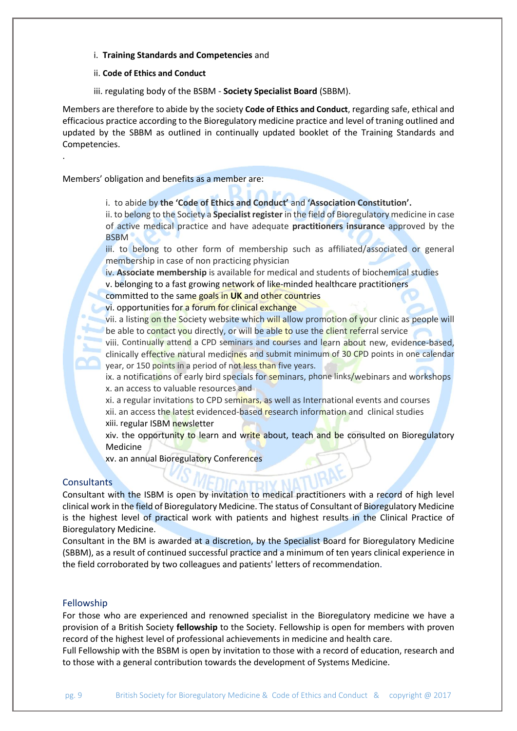- i. **Training Standards and Competencies** and
- ii. **Code of Ethics and Conduct**
- iii. regulating body of the BSBM - **Society Specialist Board** (SBBM).

Members are therefore to abide by the society **Code of Ethics and Conduct**, regarding safe, ethical and efficacious practice according to the Bioregulatory medicine practice and level of traning outlined and updated by the SBBM as outlined in continually updated booklet of the Training Standards and Competencies.

Members' obligation and benefits as a member are:

i. to abide by **the 'Code of Ethics and Conduct'** and **'Association Constitution'.**

ii. to belong to the Society a **Specialist register** in the field of Bioregulatory medicine in case of active medical practice and have adequate **practitioners insurance** approved by the BSBM

iii. to belong to other form of membership such as affiliated/associated or general membership in case of non practicing physician

iv. **Associate membership** is available for medical and students of biochemical studies v. belonging to a fast growing network of like-minded healthcare practitioners

committed to the same goals in **UK** and other countries

vi. opportunities for a forum for clinical exchange

vii. a listing on the Society website which will allow promotion of your clinic as people will be able to contact you directly, or will be able to use the client referral service

viii. Continually attend a CPD seminars and courses and learn about new, evidence-based, clinically effective natural medicines and submit minimum of 30 CPD points in one calendar year, or 150 points in a period of not less than five years.

ix. a notifications of early bird specials for seminars, phone links/webinars and workshops x. an access to valuable resources and

xi. a regular invitations to CPD seminars, as well as International events and courses xii. an access the latest evidenced-based research information and clinical studies xiii. regular ISBM newsletter

xiv. the opportunity to learn and write about, teach and be consulted on Bioregulatory Medicine

xv. an annual Bioregulatory Conferences

#### **Consultants**

.

Consultant with the ISBM is open by invitation to medical practitioners with a record of high level clinical work in the field of Bioregulatory Medicine. The status of Consultant of Bioregulatory Medicine is the highest level of practical work with patients and highest results in the Clinical Practice of Bioregulatory Medicine.

Consultant in the BM is awarded at a discretion, by the Specialist Board for Bioregulatory Medicine (SBBM), as a result of continued successful practice and a minimum of ten years clinical experience in the field corroborated by two colleagues and patients' letters of recommendation.

#### Fellowship

For those who are experienced and renowned specialist in the Bioregulatory medicine we have a provision of a British Society **fellowship** to the Society. Fellowship is open for members with proven record of the highest level of professional achievements in medicine and health care.

Full Fellowship with the BSBM is open by invitation to those with a record of education, research and to those with a general contribution towards the development of Systems Medicine.